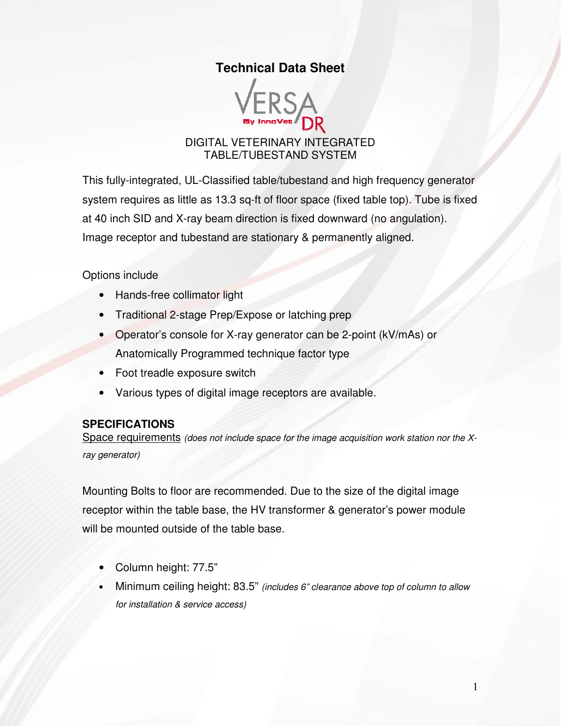# **Technical Data Sheet**



#### DIGITAL VETERINARY INTEGRATED TABLE/TUBESTAND SYSTEM

This fully-integrated, UL-Classified table/tubestand and high frequency generator system requires as little as 13.3 sq-ft of floor space (fixed table top). Tube is fixed at 40 inch SID and X-ray beam direction is fixed downward (no angulation). Image receptor and tubestand are stationary & permanently aligned.

Options include

- Hands-free collimator light
- Traditional 2-stage Prep/Expose or latching prep
- Operator's console for X-ray generator can be 2-point (kV/mAs) or Anatomically Programmed technique factor type
- Foot treadle exposure switch
- Various types of digital image receptors are available.

#### **SPECIFICATIONS**

Space requirements (does not include space for the image acquisition work station nor the Xray generator)

Mounting Bolts to floor are recommended. Due to the size of the digital image receptor within the table base, the HV transformer & generator's power module will be mounted outside of the table base.

- Column height: 77.5"
- Minimum ceiling height: 83.5" (includes 6" clearance above top of column to allow for installation & service access)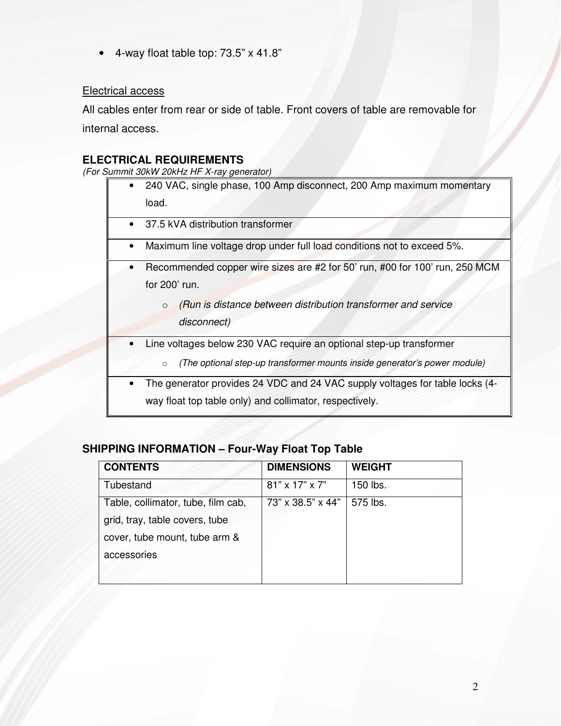• 4-way float table top: 73.5" x 41.8"

### Electrical access

All cables enter from rear or side of table. Front covers of table are removable for internal access.

### **ELECTRICAL REQUIREMENTS**

(For Summit 30kW 20kHz HF X-ray generator)

|           | 240 VAC, single phase, 100 Amp disconnect, 200 Amp maximum momentary                 |
|-----------|--------------------------------------------------------------------------------------|
|           | load.                                                                                |
|           | 37.5 kVA distribution transformer                                                    |
| $\bullet$ | Maximum line voltage drop under full load conditions not to exceed 5%.               |
|           | Recommended copper wire sizes are #2 for 50' run, #00 for 100' run, 250 MCM          |
|           | for $200'$ run.                                                                      |
|           | (Run is distance between distribution transformer and service<br>$\circ$             |
|           | disconnect)                                                                          |
|           | Line voltages below 230 VAC require an optional step-up transformer                  |
|           | (The optional step-up transformer mounts inside generator's power module)<br>$\circ$ |
|           | The generator provides 24 VDC and 24 VAC supply voltages for table locks (4-         |
|           | way float top table only) and collimator, respectively.                              |
|           |                                                                                      |

## **SHIPPING INFORMATION – Four-Way Float Top Table**

| <b>DIMENSIONS</b> | <b>WEIGHT</b> |
|-------------------|---------------|
| 81" x 17" x 7"    | 150 lbs.      |
| 73" x 38.5" x 44" | 575 lbs.      |
|                   |               |
|                   |               |
|                   |               |
|                   |               |
|                   |               |